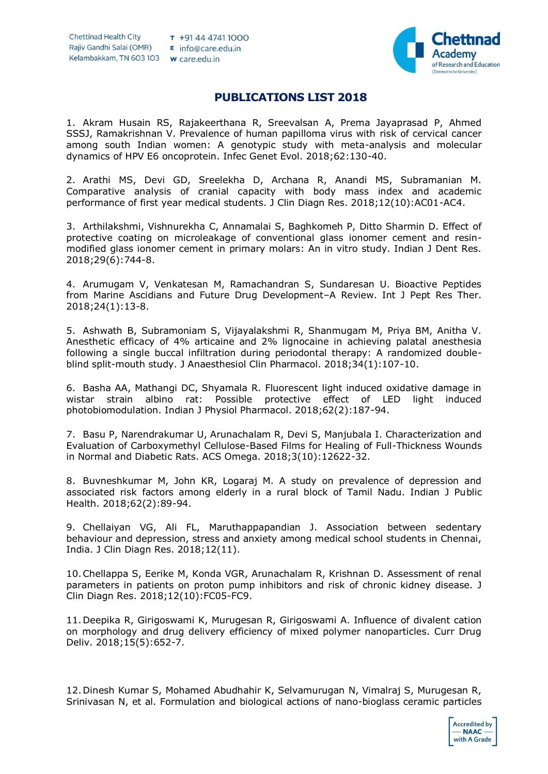

## **PUBLICATIONS LIST 2018**

1. Akram Husain RS, Rajakeerthana R, Sreevalsan A, Prema Jayaprasad P, Ahmed SSSJ, Ramakrishnan V. Prevalence of human papilloma virus with risk of cervical cancer among south Indian women: A genotypic study with meta-analysis and molecular dynamics of HPV E6 oncoprotein. Infec Genet Evol. 2018;62:130-40.

2. Arathi MS, Devi GD, Sreelekha D, Archana R, Anandi MS, Subramanian M. Comparative analysis of cranial capacity with body mass index and academic performance of first year medical students. J Clin Diagn Res. 2018;12(10):AC01-AC4.

3. Arthilakshmi, Vishnurekha C, Annamalai S, Baghkomeh P, Ditto Sharmin D. Effect of protective coating on microleakage of conventional glass ionomer cement and resinmodified glass ionomer cement in primary molars: An in vitro study. Indian J Dent Res. 2018;29(6):744-8.

4. Arumugam V, Venkatesan M, Ramachandran S, Sundaresan U. Bioactive Peptides from Marine Ascidians and Future Drug Development–A Review. Int J Pept Res Ther. 2018;24(1):13-8.

5. Ashwath B, Subramoniam S, Vijayalakshmi R, Shanmugam M, Priya BM, Anitha V. Anesthetic efficacy of 4% articaine and 2% lignocaine in achieving palatal anesthesia following a single buccal infiltration during periodontal therapy: A randomized doubleblind split-mouth study. J Anaesthesiol Clin Pharmacol. 2018;34(1):107-10.

6. Basha AA, Mathangi DC, Shyamala R. Fluorescent light induced oxidative damage in wistar strain albino rat: Possible protective effect of LED light induced photobiomodulation. Indian J Physiol Pharmacol. 2018;62(2):187-94.

7. Basu P, Narendrakumar U, Arunachalam R, Devi S, Manjubala I. Characterization and Evaluation of Carboxymethyl Cellulose-Based Films for Healing of Full-Thickness Wounds in Normal and Diabetic Rats. ACS Omega. 2018;3(10):12622-32.

8. Buvneshkumar M, John KR, Logaraj M. A study on prevalence of depression and associated risk factors among elderly in a rural block of Tamil Nadu. Indian J Public Health. 2018;62(2):89-94.

9. Chellaiyan VG, Ali FL, Maruthappapandian J. Association between sedentary behaviour and depression, stress and anxiety among medical school students in Chennai, India. J Clin Diagn Res. 2018;12(11).

10.Chellappa S, Eerike M, Konda VGR, Arunachalam R, Krishnan D. Assessment of renal parameters in patients on proton pump inhibitors and risk of chronic kidney disease. J Clin Diagn Res. 2018;12(10):FC05-FC9.

11.Deepika R, Girigoswami K, Murugesan R, Girigoswami A. Influence of divalent cation on morphology and drug delivery efficiency of mixed polymer nanoparticles. Curr Drug Deliv. 2018;15(5):652-7.

12.Dinesh Kumar S, Mohamed Abudhahir K, Selvamurugan N, Vimalraj S, Murugesan R, Srinivasan N, et al. Formulation and biological actions of nano-bioglass ceramic particles

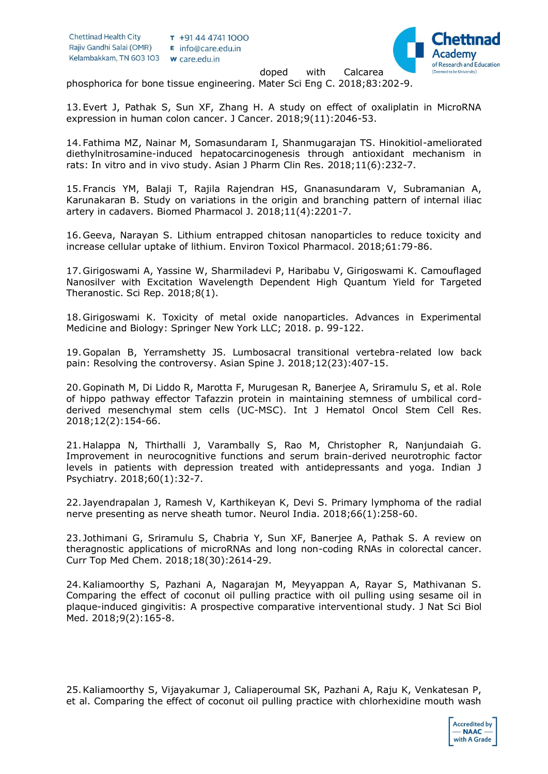

doped with Calcarea phosphorica for bone tissue engineering. Mater Sci Eng C. 2018;83:202-9.

13.Evert J, Pathak S, Sun XF, Zhang H. A study on effect of oxaliplatin in MicroRNA expression in human colon cancer. J Cancer. 2018;9(11):2046-53.

14.Fathima MZ, Nainar M, Somasundaram I, Shanmugarajan TS. Hinokitiol-ameliorated diethylnitrosamine-induced hepatocarcinogenesis through antioxidant mechanism in rats: In vitro and in vivo study. Asian J Pharm Clin Res. 2018;11(6):232-7.

15.Francis YM, Balaji T, Rajila Rajendran HS, Gnanasundaram V, Subramanian A, Karunakaran B. Study on variations in the origin and branching pattern of internal iliac artery in cadavers. Biomed Pharmacol J. 2018;11(4):2201-7.

16.Geeva, Narayan S. Lithium entrapped chitosan nanoparticles to reduce toxicity and increase cellular uptake of lithium. Environ Toxicol Pharmacol. 2018;61:79-86.

17.Girigoswami A, Yassine W, Sharmiladevi P, Haribabu V, Girigoswami K. Camouflaged Nanosilver with Excitation Wavelength Dependent High Quantum Yield for Targeted Theranostic. Sci Rep. 2018;8(1).

18.Girigoswami K. Toxicity of metal oxide nanoparticles. Advances in Experimental Medicine and Biology: Springer New York LLC; 2018. p. 99-122.

19.Gopalan B, Yerramshetty JS. Lumbosacral transitional vertebra-related low back pain: Resolving the controversy. Asian Spine J. 2018;12(23):407-15.

20.Gopinath M, Di Liddo R, Marotta F, Murugesan R, Banerjee A, Sriramulu S, et al. Role of hippo pathway effector Tafazzin protein in maintaining stemness of umbilical cordderived mesenchymal stem cells (UC-MSC). Int J Hematol Oncol Stem Cell Res. 2018;12(2):154-66.

21.Halappa N, Thirthalli J, Varambally S, Rao M, Christopher R, Nanjundaiah G. Improvement in neurocognitive functions and serum brain-derived neurotrophic factor levels in patients with depression treated with antidepressants and yoga. Indian J Psychiatry. 2018;60(1):32-7.

22. Jayendrapalan J, Ramesh V, Karthikeyan K, Devi S. Primary lymphoma of the radial nerve presenting as nerve sheath tumor. Neurol India. 2018;66(1):258-60.

23. Jothimani G, Sriramulu S, Chabria Y, Sun XF, Banerjee A, Pathak S. A review on theragnostic applications of microRNAs and long non-coding RNAs in colorectal cancer. Curr Top Med Chem. 2018;18(30):2614-29.

24.Kaliamoorthy S, Pazhani A, Nagarajan M, Meyyappan A, Rayar S, Mathivanan S. Comparing the effect of coconut oil pulling practice with oil pulling using sesame oil in plaque-induced gingivitis: A prospective comparative interventional study. J Nat Sci Biol Med. 2018;9(2):165-8.

25.Kaliamoorthy S, Vijayakumar J, Caliaperoumal SK, Pazhani A, Raju K, Venkatesan P, et al. Comparing the effect of coconut oil pulling practice with chlorhexidine mouth wash

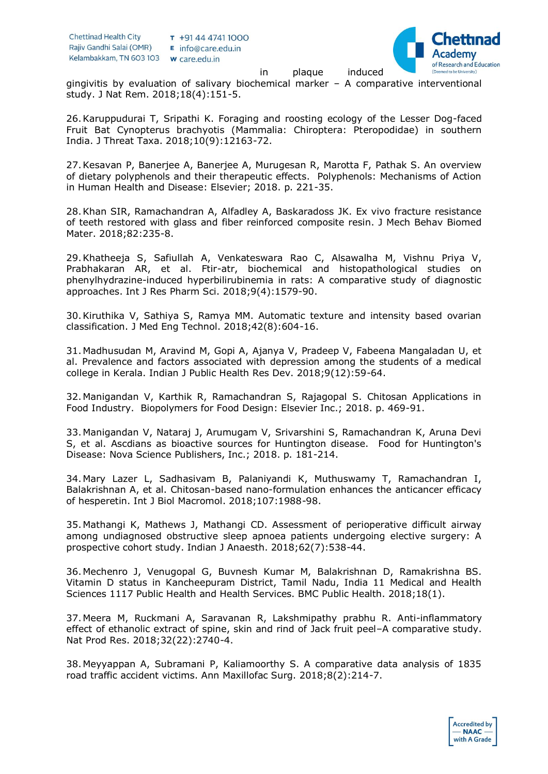

in plaque induced

gingivitis by evaluation of salivary biochemical marker – A comparative interventional study. J Nat Rem. 2018;18(4):151-5.

26.Karuppudurai T, Sripathi K. Foraging and roosting ecology of the Lesser Dog-faced Fruit Bat Cynopterus brachyotis (Mammalia: Chiroptera: Pteropodidae) in southern India. J Threat Taxa. 2018;10(9):12163-72.

27.Kesavan P, Banerjee A, Banerjee A, Murugesan R, Marotta F, Pathak S. An overview of dietary polyphenols and their therapeutic effects. Polyphenols: Mechanisms of Action in Human Health and Disease: Elsevier; 2018. p. 221-35.

28.Khan SIR, Ramachandran A, Alfadley A, Baskaradoss JK. Ex vivo fracture resistance of teeth restored with glass and fiber reinforced composite resin. J Mech Behav Biomed Mater. 2018;82:235-8.

29.Khatheeja S, Safiullah A, Venkateswara Rao C, Alsawalha M, Vishnu Priya V, Prabhakaran AR, et al. Ftir-atr, biochemical and histopathological studies on phenylhydrazine-induced hyperbilirubinemia in rats: A comparative study of diagnostic approaches. Int J Res Pharm Sci. 2018;9(4):1579-90.

30.Kiruthika V, Sathiya S, Ramya MM. Automatic texture and intensity based ovarian classification. J Med Eng Technol. 2018;42(8):604-16.

31.Madhusudan M, Aravind M, Gopi A, Ajanya V, Pradeep V, Fabeena Mangaladan U, et al. Prevalence and factors associated with depression among the students of a medical college in Kerala. Indian J Public Health Res Dev. 2018;9(12):59-64.

32.Manigandan V, Karthik R, Ramachandran S, Rajagopal S. Chitosan Applications in Food Industry. Biopolymers for Food Design: Elsevier Inc.; 2018. p. 469-91.

33.Manigandan V, Nataraj J, Arumugam V, Srivarshini S, Ramachandran K, Aruna Devi S, et al. Ascdians as bioactive sources for Huntington disease. Food for Huntington's Disease: Nova Science Publishers, Inc.; 2018. p. 181-214.

34.Mary Lazer L, Sadhasivam B, Palaniyandi K, Muthuswamy T, Ramachandran I, Balakrishnan A, et al. Chitosan-based nano-formulation enhances the anticancer efficacy of hesperetin. Int J Biol Macromol. 2018;107:1988-98.

35.Mathangi K, Mathews J, Mathangi CD. Assessment of perioperative difficult airway among undiagnosed obstructive sleep apnoea patients undergoing elective surgery: A prospective cohort study. Indian J Anaesth. 2018;62(7):538-44.

36.Mechenro J, Venugopal G, Buvnesh Kumar M, Balakrishnan D, Ramakrishna BS. Vitamin D status in Kancheepuram District, Tamil Nadu, India 11 Medical and Health Sciences 1117 Public Health and Health Services. BMC Public Health. 2018;18(1).

37.Meera M, Ruckmani A, Saravanan R, Lakshmipathy prabhu R. Anti-inflammatory effect of ethanolic extract of spine, skin and rind of Jack fruit peel–A comparative study. Nat Prod Res. 2018;32(22):2740-4.

38.Meyyappan A, Subramani P, Kaliamoorthy S. A comparative data analysis of 1835 road traffic accident victims. Ann Maxillofac Surg. 2018;8(2):214-7.

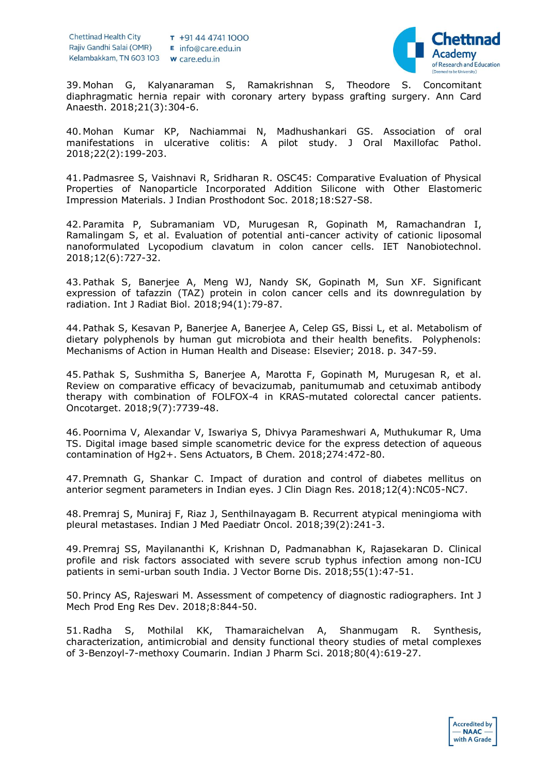

39.Mohan G, Kalyanaraman S, Ramakrishnan S, Theodore S. Concomitant diaphragmatic hernia repair with coronary artery bypass grafting surgery. Ann Card Anaesth. 2018;21(3):304-6.

40.Mohan Kumar KP, Nachiammai N, Madhushankari GS. Association of oral manifestations in ulcerative colitis: A pilot study. J Oral Maxillofac Pathol. 2018;22(2):199-203.

41.Padmasree S, Vaishnavi R, Sridharan R. OSC45: Comparative Evaluation of Physical Properties of Nanoparticle Incorporated Addition Silicone with Other Elastomeric Impression Materials. J Indian Prosthodont Soc. 2018;18:S27-S8.

42.Paramita P, Subramaniam VD, Murugesan R, Gopinath M, Ramachandran I, Ramalingam S, et al. Evaluation of potential anti-cancer activity of cationic liposomal nanoformulated Lycopodium clavatum in colon cancer cells. IET Nanobiotechnol. 2018;12(6):727-32.

43.Pathak S, Banerjee A, Meng WJ, Nandy SK, Gopinath M, Sun XF. Significant expression of tafazzin (TAZ) protein in colon cancer cells and its downregulation by radiation. Int J Radiat Biol. 2018;94(1):79-87.

44.Pathak S, Kesavan P, Banerjee A, Banerjee A, Celep GS, Bissi L, et al. Metabolism of dietary polyphenols by human gut microbiota and their health benefits. Polyphenols: Mechanisms of Action in Human Health and Disease: Elsevier; 2018. p. 347-59.

45.Pathak S, Sushmitha S, Banerjee A, Marotta F, Gopinath M, Murugesan R, et al. Review on comparative efficacy of bevacizumab, panitumumab and cetuximab antibody therapy with combination of FOLFOX-4 in KRAS-mutated colorectal cancer patients. Oncotarget. 2018;9(7):7739-48.

46.Poornima V, Alexandar V, Iswariya S, Dhivya Parameshwari A, Muthukumar R, Uma TS. Digital image based simple scanometric device for the express detection of aqueous contamination of Hg2+. Sens Actuators, B Chem. 2018;274:472-80.

47.Premnath G, Shankar C. Impact of duration and control of diabetes mellitus on anterior segment parameters in Indian eyes. J Clin Diagn Res. 2018;12(4):NC05-NC7.

48.Premraj S, Muniraj F, Riaz J, Senthilnayagam B. Recurrent atypical meningioma with pleural metastases. Indian J Med Paediatr Oncol. 2018;39(2):241-3.

49.Premraj SS, Mayilananthi K, Krishnan D, Padmanabhan K, Rajasekaran D. Clinical profile and risk factors associated with severe scrub typhus infection among non-ICU patients in semi-urban south India. J Vector Borne Dis. 2018;55(1):47-51.

50.Princy AS, Rajeswari M. Assessment of competency of diagnostic radiographers. Int J Mech Prod Eng Res Dev. 2018;8:844-50.

51.Radha S, Mothilal KK, Thamaraichelvan A, Shanmugam R. Synthesis, characterization, antimicrobial and density functional theory studies of metal complexes of 3-Benzoyl-7-methoxy Coumarin. Indian J Pharm Sci. 2018;80(4):619-27.

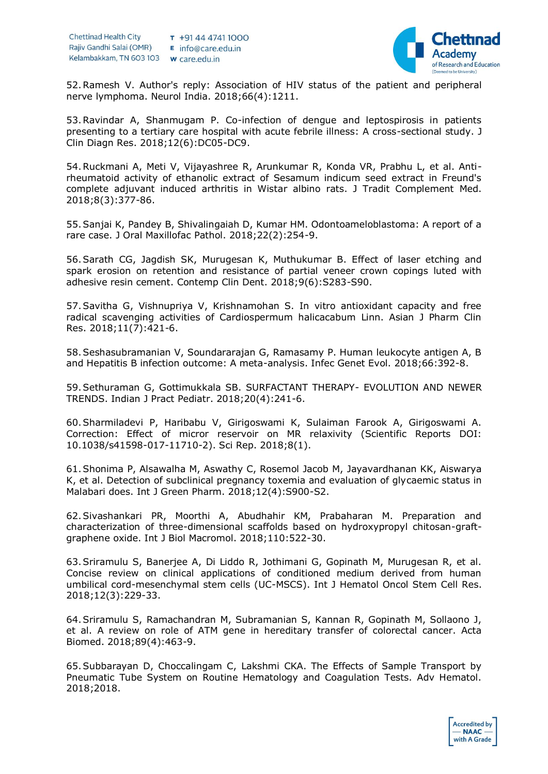

52.Ramesh V. Author's reply: Association of HIV status of the patient and peripheral nerve lymphoma. Neurol India. 2018;66(4):1211.

53.Ravindar A, Shanmugam P. Co-infection of dengue and leptospirosis in patients presenting to a tertiary care hospital with acute febrile illness: A cross-sectional study. J Clin Diagn Res. 2018;12(6):DC05-DC9.

54.Ruckmani A, Meti V, Vijayashree R, Arunkumar R, Konda VR, Prabhu L, et al. Antirheumatoid activity of ethanolic extract of Sesamum indicum seed extract in Freund's complete adjuvant induced arthritis in Wistar albino rats. J Tradit Complement Med. 2018;8(3):377-86.

55.Sanjai K, Pandey B, Shivalingaiah D, Kumar HM. Odontoameloblastoma: A report of a rare case. J Oral Maxillofac Pathol. 2018;22(2):254-9.

56.Sarath CG, Jagdish SK, Murugesan K, Muthukumar B. Effect of laser etching and spark erosion on retention and resistance of partial veneer crown copings luted with adhesive resin cement. Contemp Clin Dent. 2018;9(6):S283-S90.

57.Savitha G, Vishnupriya V, Krishnamohan S. In vitro antioxidant capacity and free radical scavenging activities of Cardiospermum halicacabum Linn. Asian J Pharm Clin Res. 2018;11(7):421-6.

58.Seshasubramanian V, Soundararajan G, Ramasamy P. Human leukocyte antigen A, B and Hepatitis B infection outcome: A meta-analysis. Infec Genet Evol. 2018;66:392-8.

59.Sethuraman G, Gottimukkala SB. SURFACTANT THERAPY- EVOLUTION AND NEWER TRENDS. Indian J Pract Pediatr. 2018;20(4):241-6.

60.Sharmiladevi P, Haribabu V, Girigoswami K, Sulaiman Farook A, Girigoswami A. Correction: Effect of micror reservoir on MR relaxivity (Scientific Reports DOI: 10.1038/s41598-017-11710-2). Sci Rep. 2018;8(1).

61.Shonima P, Alsawalha M, Aswathy C, Rosemol Jacob M, Jayavardhanan KK, Aiswarya K, et al. Detection of subclinical pregnancy toxemia and evaluation of glycaemic status in Malabari does. Int J Green Pharm. 2018;12(4):S900-S2.

62.Sivashankari PR, Moorthi A, Abudhahir KM, Prabaharan M. Preparation and characterization of three-dimensional scaffolds based on hydroxypropyl chitosan-graftgraphene oxide. Int J Biol Macromol. 2018;110:522-30.

63.Sriramulu S, Banerjee A, Di Liddo R, Jothimani G, Gopinath M, Murugesan R, et al. Concise review on clinical applications of conditioned medium derived from human umbilical cord-mesenchymal stem cells (UC-MSCS). Int J Hematol Oncol Stem Cell Res. 2018;12(3):229-33.

64.Sriramulu S, Ramachandran M, Subramanian S, Kannan R, Gopinath M, Sollaono J, et al. A review on role of ATM gene in hereditary transfer of colorectal cancer. Acta Biomed. 2018;89(4):463-9.

65.Subbarayan D, Choccalingam C, Lakshmi CKA. The Effects of Sample Transport by Pneumatic Tube System on Routine Hematology and Coagulation Tests. Adv Hematol. 2018;2018.

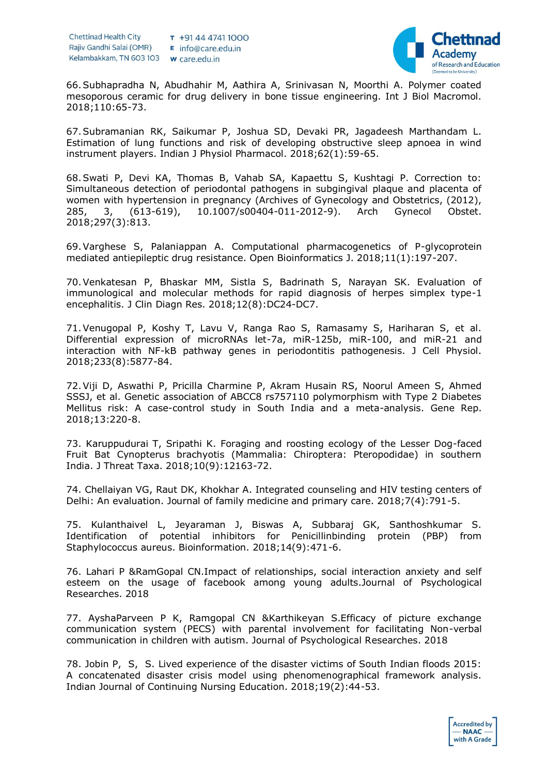

66.Subhapradha N, Abudhahir M, Aathira A, Srinivasan N, Moorthi A. Polymer coated mesoporous ceramic for drug delivery in bone tissue engineering. Int J Biol Macromol. 2018;110:65-73.

67.Subramanian RK, Saikumar P, Joshua SD, Devaki PR, Jagadeesh Marthandam L. Estimation of lung functions and risk of developing obstructive sleep apnoea in wind instrument players. Indian J Physiol Pharmacol. 2018;62(1):59-65.

68.Swati P, Devi KA, Thomas B, Vahab SA, Kapaettu S, Kushtagi P. Correction to: Simultaneous detection of periodontal pathogens in subgingival plaque and placenta of women with hypertension in pregnancy (Archives of Gynecology and Obstetrics, (2012), 285, 3, (613-619), 10.1007/s00404-011-2012-9). Arch Gynecol Obstet. 2018;297(3):813.

69.Varghese S, Palaniappan A. Computational pharmacogenetics of P-glycoprotein mediated antiepileptic drug resistance. Open Bioinformatics J. 2018;11(1):197-207.

70.Venkatesan P, Bhaskar MM, Sistla S, Badrinath S, Narayan SK. Evaluation of immunological and molecular methods for rapid diagnosis of herpes simplex type-1 encephalitis. J Clin Diagn Res. 2018;12(8):DC24-DC7.

71.Venugopal P, Koshy T, Lavu V, Ranga Rao S, Ramasamy S, Hariharan S, et al. Differential expression of microRNAs let-7a, miR-125b, miR-100, and miR-21 and interaction with NF-kB pathway genes in periodontitis pathogenesis. J Cell Physiol. 2018;233(8):5877-84.

72.Viji D, Aswathi P, Pricilla Charmine P, Akram Husain RS, Noorul Ameen S, Ahmed SSSJ, et al. Genetic association of ABCC8 rs757110 polymorphism with Type 2 Diabetes Mellitus risk: A case-control study in South India and a meta-analysis. Gene Rep. 2018;13:220-8.

73. Karuppudurai T, Sripathi K. Foraging and roosting ecology of the Lesser Dog-faced Fruit Bat Cynopterus brachyotis (Mammalia: Chiroptera: Pteropodidae) in southern India. J Threat Taxa. 2018;10(9):12163-72.

74. Chellaiyan VG, Raut DK, Khokhar A. Integrated counseling and HIV testing centers of Delhi: An evaluation. Journal of family medicine and primary care. 2018;7(4):791-5.

75. Kulanthaivel L, Jeyaraman J, Biswas A, Subbaraj GK, Santhoshkumar S. Identification of potential inhibitors for Penicillinbinding protein (PBP) from Staphylococcus aureus. Bioinformation. 2018;14(9):471-6.

76. Lahari P &RamGopal CN.Impact of relationships, social interaction anxiety and self esteem on the usage of facebook among young adults.Journal of Psychological Researches. 2018

77. AyshaParveen P K, Ramgopal CN &Karthikeyan S.Efficacy of picture exchange communication system (PECS) with parental involvement for facilitating Non-verbal communication in children with autism. Journal of Psychological Researches. 2018

78. Jobin P, S, S. Lived experience of the disaster victims of South Indian floods 2015: A concatenated disaster crisis model using phenomenographical framework analysis. Indian Journal of Continuing Nursing Education. 2018;19(2):44-53.

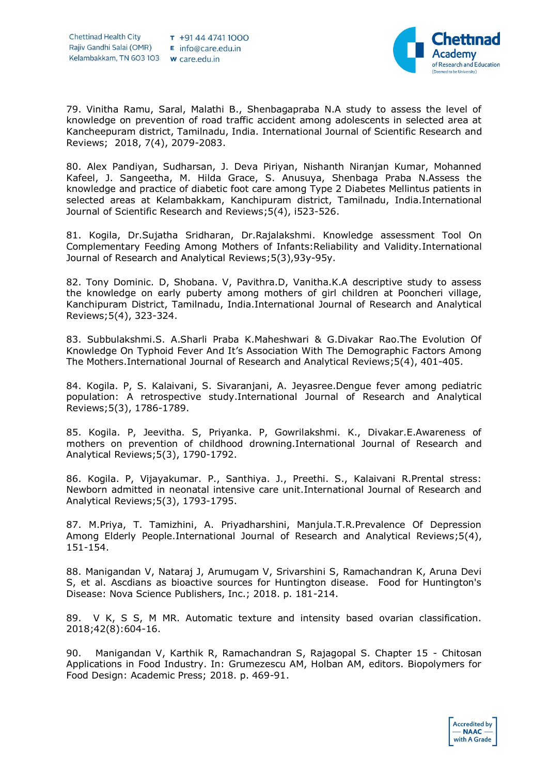

79. Vinitha Ramu, Saral, Malathi B., Shenbagapraba N.A study to assess the level of knowledge on prevention of road traffic accident among adolescents in selected area at Kancheepuram district, Tamilnadu, India. International Journal of Scientific Research and Reviews; 2018, 7(4), 2079-2083.

80. Alex Pandiyan, Sudharsan, J. Deva Piriyan, Nishanth Niranjan Kumar, Mohanned Kafeel, J. Sangeetha, M. Hilda Grace, S. Anusuya, Shenbaga Praba N.Assess the knowledge and practice of diabetic foot care among Type 2 Diabetes Mellintus patients in selected areas at Kelambakkam, Kanchipuram district, Tamilnadu, India.International Journal of Scientific Research and Reviews;5(4), i523-526.

81. Kogila, Dr.Sujatha Sridharan, Dr.Rajalakshmi. Knowledge assessment Tool On Complementary Feeding Among Mothers of Infants:Reliability and Validity.International Journal of Research and Analytical Reviews;5(3),93y-95y.

82. Tony Dominic. D, Shobana. V, Pavithra.D, Vanitha.K.A descriptive study to assess the knowledge on early puberty among mothers of girl children at Pooncheri village, Kanchipuram District, Tamilnadu, India.International Journal of Research and Analytical Reviews;5(4), 323-324.

83. Subbulakshmi.S. A.Sharli Praba K.Maheshwari & G.Divakar Rao.The Evolution Of Knowledge On Typhoid Fever And It's Association With The Demographic Factors Among The Mothers.International Journal of Research and Analytical Reviews;5(4), 401-405.

84. Kogila. P, S. Kalaivani, S. Sivaranjani, A. Jeyasree.Dengue fever among pediatric population: A retrospective study.International Journal of Research and Analytical Reviews;5(3), 1786-1789.

85. Kogila. P, Jeevitha. S, Priyanka. P, Gowrilakshmi. K., Divakar.E.Awareness of mothers on prevention of childhood drowning.International Journal of Research and Analytical Reviews;5(3), 1790-1792.

86. Kogila. P, Vijayakumar. P., Santhiya. J., Preethi. S., Kalaivani R.Prental stress: Newborn admitted in neonatal intensive care unit.International Journal of Research and Analytical Reviews;5(3), 1793-1795.

87. M.Priya, T. Tamizhini, A. Priyadharshini, Manjula.T.R.Prevalence Of Depression Among Elderly People.International Journal of Research and Analytical Reviews;5(4), 151-154.

88. Manigandan V, Nataraj J, Arumugam V, Srivarshini S, Ramachandran K, Aruna Devi S, et al. Ascdians as bioactive sources for Huntington disease. Food for Huntington's Disease: Nova Science Publishers, Inc.; 2018. p. 181-214.

89. V K, S S, M MR. Automatic texture and intensity based ovarian classification. 2018;42(8):604-16.

90. Manigandan V, Karthik R, Ramachandran S, Rajagopal S. Chapter 15 - Chitosan Applications in Food Industry. In: Grumezescu AM, Holban AM, editors. Biopolymers for Food Design: Academic Press; 2018. p. 469-91.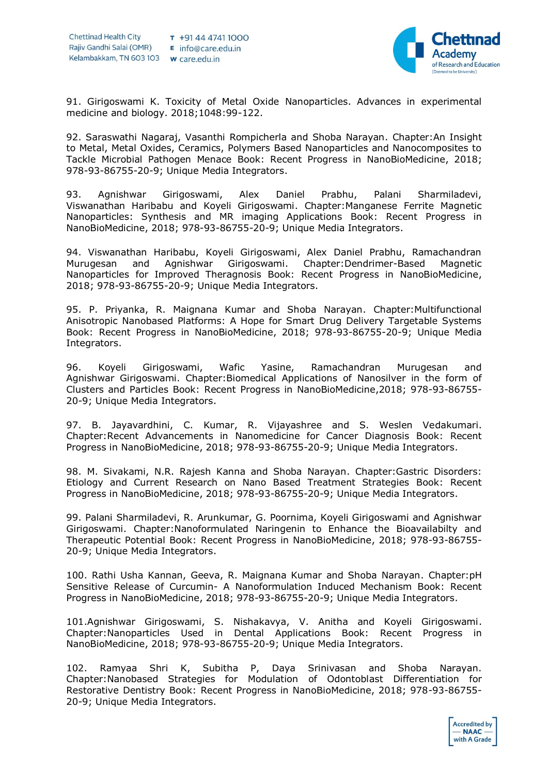

91. Girigoswami K. Toxicity of Metal Oxide Nanoparticles. Advances in experimental medicine and biology. 2018;1048:99-122.

92. Saraswathi Nagaraj, Vasanthi Rompicherla and Shoba Narayan. Chapter:An Insight to Metal, Metal Oxides, Ceramics, Polymers Based Nanoparticles and Nanocomposites to Tackle Microbial Pathogen Menace Book: Recent Progress in NanoBioMedicine, 2018; 978-93-86755-20-9; Unique Media Integrators.

93. Agnishwar Girigoswami, Alex Daniel Prabhu, Palani Sharmiladevi, Viswanathan Haribabu and Koyeli Girigoswami. Chapter:Manganese Ferrite Magnetic Nanoparticles: Synthesis and MR imaging Applications Book: Recent Progress in NanoBioMedicine, 2018; 978-93-86755-20-9; Unique Media Integrators.

94. Viswanathan Haribabu, Koyeli Girigoswami, Alex Daniel Prabhu, Ramachandran Murugesan and Agnishwar Girigoswami. Chapter:Dendrimer-Based Magnetic Nanoparticles for Improved Theragnosis Book: Recent Progress in NanoBioMedicine, 2018; 978-93-86755-20-9; Unique Media Integrators.

95. P. Priyanka, R. Maignana Kumar and Shoba Narayan. Chapter:Multifunctional Anisotropic Nanobased Platforms: A Hope for Smart Drug Delivery Targetable Systems Book: Recent Progress in NanoBioMedicine, 2018; 978-93-86755-20-9; Unique Media Integrators.

96. Koyeli Girigoswami, Wafic Yasine, Ramachandran Murugesan and Agnishwar Girigoswami. Chapter:Biomedical Applications of Nanosilver in the form of Clusters and Particles Book: Recent Progress in NanoBioMedicine,2018; 978-93-86755- 20-9; Unique Media Integrators.

97. B. Jayavardhini, C. Kumar, R. Vijayashree and S. Weslen Vedakumari. Chapter:Recent Advancements in Nanomedicine for Cancer Diagnosis Book: Recent Progress in NanoBioMedicine, 2018; 978-93-86755-20-9; Unique Media Integrators.

98. M. Sivakami, N.R. Rajesh Kanna and Shoba Narayan. Chapter:Gastric Disorders: Etiology and Current Research on Nano Based Treatment Strategies Book: Recent Progress in NanoBioMedicine, 2018; 978-93-86755-20-9; Unique Media Integrators.

99. Palani Sharmiladevi, R. Arunkumar, G. Poornima, Koyeli Girigoswami and Agnishwar Girigoswami. Chapter:Nanoformulated Naringenin to Enhance the Bioavailabilty and Therapeutic Potential Book: Recent Progress in NanoBioMedicine, 2018; 978-93-86755- 20-9; Unique Media Integrators.

100. Rathi Usha Kannan, Geeva, R. Maignana Kumar and Shoba Narayan. Chapter:pH Sensitive Release of Curcumin- A Nanoformulation Induced Mechanism Book: Recent Progress in NanoBioMedicine, 2018; 978-93-86755-20-9; Unique Media Integrators.

101.Agnishwar Girigoswami, S. Nishakavya, V. Anitha and Koyeli Girigoswami. Chapter:Nanoparticles Used in Dental Applications Book: Recent Progress in NanoBioMedicine, 2018; 978-93-86755-20-9; Unique Media Integrators.

102. Ramyaa Shri K, Subitha P, Daya Srinivasan and Shoba Narayan. Chapter:Nanobased Strategies for Modulation of Odontoblast Differentiation for Restorative Dentistry Book: Recent Progress in NanoBioMedicine, 2018; 978-93-86755- 20-9; Unique Media Integrators.

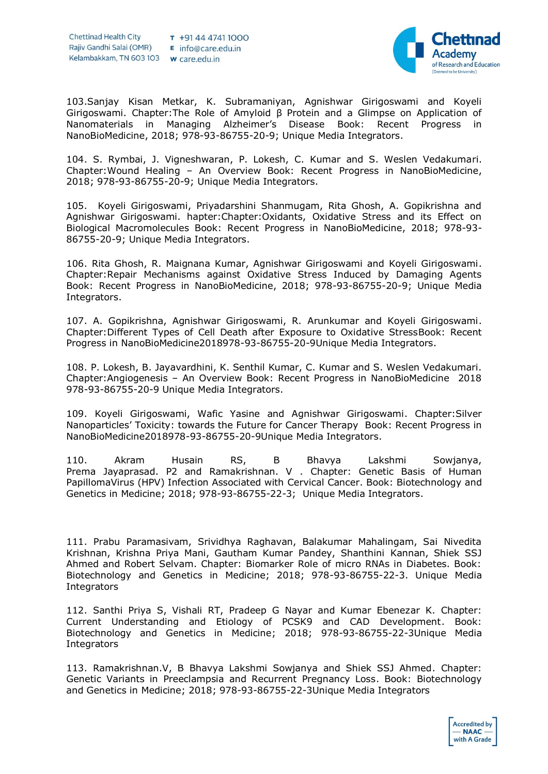

103.Sanjay Kisan Metkar, K. Subramaniyan, Agnishwar Girigoswami and Koyeli Girigoswami. Chapter:The Role of Amyloid β Protein and a Glimpse on Application of Nanomaterials in Managing Alzheimer's Disease Book: Recent Progress in NanoBioMedicine, 2018; 978-93-86755-20-9; Unique Media Integrators.

104. S. Rymbai, J. Vigneshwaran, P. Lokesh, C. Kumar and S. Weslen Vedakumari. Chapter:Wound Healing – An Overview Book: Recent Progress in NanoBioMedicine, 2018; 978-93-86755-20-9; Unique Media Integrators.

105. Koyeli Girigoswami, Priyadarshini Shanmugam, Rita Ghosh, A. Gopikrishna and Agnishwar Girigoswami. hapter:Chapter:Oxidants, Oxidative Stress and its Effect on Biological Macromolecules Book: Recent Progress in NanoBioMedicine, 2018; 978-93- 86755-20-9; Unique Media Integrators.

106. Rita Ghosh, R. Maignana Kumar, Agnishwar Girigoswami and Koyeli Girigoswami. Chapter:Repair Mechanisms against Oxidative Stress Induced by Damaging Agents Book: Recent Progress in NanoBioMedicine, 2018; 978-93-86755-20-9; Unique Media Integrators.

107. A. Gopikrishna, Agnishwar Girigoswami, R. Arunkumar and Koyeli Girigoswami. Chapter:Different Types of Cell Death after Exposure to Oxidative StressBook: Recent Progress in NanoBioMedicine2018978-93-86755-20-9Unique Media Integrators.

108. P. Lokesh, B. Jayavardhini, K. Senthil Kumar, C. Kumar and S. Weslen Vedakumari. Chapter:Angiogenesis – An Overview Book: Recent Progress in NanoBioMedicine 2018 978-93-86755-20-9 Unique Media Integrators.

109. Koyeli Girigoswami, Wafic Yasine and Agnishwar Girigoswami. Chapter:Silver Nanoparticles' Toxicity: towards the Future for Cancer Therapy Book: Recent Progress in NanoBioMedicine2018978-93-86755-20-9Unique Media Integrators.

110. Akram Husain RS, B Bhavya Lakshmi Sowjanya, Prema Jayaprasad. P2 and Ramakrishnan. V . Chapter: Genetic Basis of Human PapillomaVirus (HPV) Infection Associated with Cervical Cancer. Book: Biotechnology and Genetics in Medicine; 2018; 978-93-86755-22-3; Unique Media Integrators.

111. Prabu Paramasivam, Srividhya Raghavan, Balakumar Mahalingam, Sai Nivedita Krishnan, Krishna Priya Mani, Gautham Kumar Pandey, Shanthini Kannan, Shiek SSJ Ahmed and Robert Selvam. Chapter: Biomarker Role of micro RNAs in Diabetes. Book: Biotechnology and Genetics in Medicine; 2018; 978-93-86755-22-3. Unique Media Integrators

112. Santhi Priya S, Vishali RT, Pradeep G Nayar and Kumar Ebenezar K. Chapter: Current Understanding and Etiology of PCSK9 and CAD Development. Book: Biotechnology and Genetics in Medicine; 2018; 978-93-86755-22-3Unique Media **Integrators** 

113. Ramakrishnan.V, B Bhavya Lakshmi Sowjanya and Shiek SSJ Ahmed. Chapter: Genetic Variants in Preeclampsia and Recurrent Pregnancy Loss. Book: Biotechnology and Genetics in Medicine; 2018; 978-93-86755-22-3Unique Media Integrators

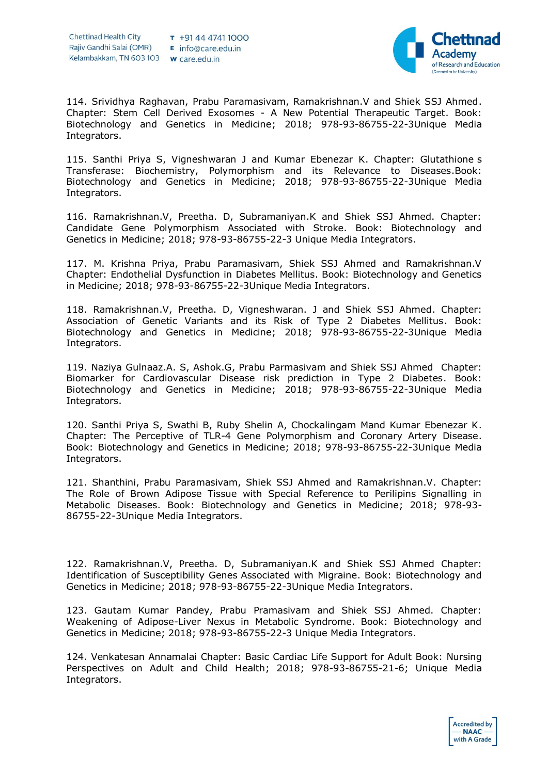

114. Srividhya Raghavan, Prabu Paramasivam, Ramakrishnan.V and Shiek SSJ Ahmed. Chapter: Stem Cell Derived Exosomes - A New Potential Therapeutic Target. Book: Biotechnology and Genetics in Medicine; 2018; 978-93-86755-22-3Unique Media Integrators.

115. Santhi Priya S, Vigneshwaran J and Kumar Ebenezar K. Chapter: Glutathione s Transferase: Biochemistry, Polymorphism and its Relevance to Diseases.Book: Biotechnology and Genetics in Medicine; 2018; 978-93-86755-22-3Unique Media Integrators.

116. Ramakrishnan.V, Preetha. D, Subramaniyan.K and Shiek SSJ Ahmed. Chapter: Candidate Gene Polymorphism Associated with Stroke. Book: Biotechnology and Genetics in Medicine; 2018; 978-93-86755-22-3 Unique Media Integrators.

117. M. Krishna Priya, Prabu Paramasivam, Shiek SSJ Ahmed and Ramakrishnan.V Chapter: Endothelial Dysfunction in Diabetes Mellitus. Book: Biotechnology and Genetics in Medicine; 2018; 978-93-86755-22-3Unique Media Integrators.

118. Ramakrishnan.V, Preetha. D, Vigneshwaran. J and Shiek SSJ Ahmed. Chapter: Association of Genetic Variants and its Risk of Type 2 Diabetes Mellitus. Book: Biotechnology and Genetics in Medicine; 2018; 978-93-86755-22-3Unique Media Integrators.

119. Naziya Gulnaaz.A. S, Ashok.G, Prabu Parmasivam and Shiek SSJ Ahmed Chapter: Biomarker for Cardiovascular Disease risk prediction in Type 2 Diabetes. Book: Biotechnology and Genetics in Medicine; 2018; 978-93-86755-22-3Unique Media Integrators.

120. Santhi Priya S, Swathi B, Ruby Shelin A, Chockalingam Mand Kumar Ebenezar K. Chapter: The Perceptive of TLR-4 Gene Polymorphism and Coronary Artery Disease. Book: Biotechnology and Genetics in Medicine; 2018; 978-93-86755-22-3Unique Media Integrators.

121. Shanthini, Prabu Paramasivam, Shiek SSJ Ahmed and Ramakrishnan.V. Chapter: The Role of Brown Adipose Tissue with Special Reference to Perilipins Signalling in Metabolic Diseases. Book: Biotechnology and Genetics in Medicine; 2018; 978-93- 86755-22-3Unique Media Integrators.

122. Ramakrishnan.V, Preetha. D, Subramaniyan.K and Shiek SSJ Ahmed Chapter: Identification of Susceptibility Genes Associated with Migraine. Book: Biotechnology and Genetics in Medicine; 2018; 978-93-86755-22-3Unique Media Integrators.

123. Gautam Kumar Pandey, Prabu Pramasivam and Shiek SSJ Ahmed. Chapter: Weakening of Adipose-Liver Nexus in Metabolic Syndrome. Book: Biotechnology and Genetics in Medicine; 2018; 978-93-86755-22-3 Unique Media Integrators.

124. Venkatesan Annamalai Chapter: Basic Cardiac Life Support for Adult Book: Nursing Perspectives on Adult and Child Health; 2018; 978-93-86755-21-6; Unique Media Integrators.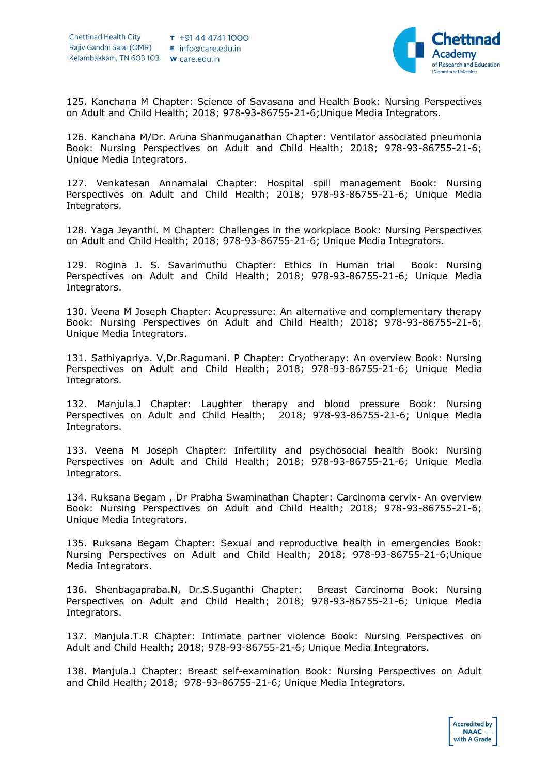

125. Kanchana M Chapter: Science of Savasana and Health Book: Nursing Perspectives on Adult and Child Health; 2018; 978-93-86755-21-6;Unique Media Integrators.

126. Kanchana M/Dr. Aruna Shanmuganathan Chapter: Ventilator associated pneumonia Book: Nursing Perspectives on Adult and Child Health; 2018; 978-93-86755-21-6; Unique Media Integrators.

127. Venkatesan Annamalai Chapter: Hospital spill management Book: Nursing Perspectives on Adult and Child Health; 2018; 978-93-86755-21-6; Unique Media Integrators.

128. Yaga Jeyanthi. M Chapter: Challenges in the workplace Book: Nursing Perspectives on Adult and Child Health; 2018; 978-93-86755-21-6; Unique Media Integrators.

129. Rogina J. S. Savarimuthu Chapter: Ethics in Human trial Book: Nursing Perspectives on Adult and Child Health; 2018; 978-93-86755-21-6; Unique Media Integrators.

130. Veena M Joseph Chapter: Acupressure: An alternative and complementary therapy Book: Nursing Perspectives on Adult and Child Health; 2018; 978-93-86755-21-6; Unique Media Integrators.

131. Sathiyapriya. V,Dr.Ragumani. P Chapter: Cryotherapy: An overview Book: Nursing Perspectives on Adult and Child Health; 2018; 978-93-86755-21-6; Unique Media Integrators.

132. Manjula.J Chapter: Laughter therapy and blood pressure Book: Nursing Perspectives on Adult and Child Health; 2018; 978-93-86755-21-6; Unique Media Integrators.

133. Veena M Joseph Chapter: Infertility and psychosocial health Book: Nursing Perspectives on Adult and Child Health; 2018; 978-93-86755-21-6; Unique Media Integrators.

134. Ruksana Begam , Dr Prabha Swaminathan Chapter: Carcinoma cervix- An overview Book: Nursing Perspectives on Adult and Child Health; 2018; 978-93-86755-21-6; Unique Media Integrators.

135. Ruksana Begam Chapter: Sexual and reproductive health in emergencies Book: Nursing Perspectives on Adult and Child Health; 2018; 978-93-86755-21-6;Unique Media Integrators.

136. Shenbagapraba.N, Dr.S.Suganthi Chapter: Breast Carcinoma Book: Nursing Perspectives on Adult and Child Health; 2018; 978-93-86755-21-6; Unique Media Integrators.

137. Manjula.T.R Chapter: Intimate partner violence Book: Nursing Perspectives on Adult and Child Health; 2018; 978-93-86755-21-6; Unique Media Integrators.

138. Manjula.J Chapter: Breast self-examination Book: Nursing Perspectives on Adult and Child Health; 2018; 978-93-86755-21-6; Unique Media Integrators.